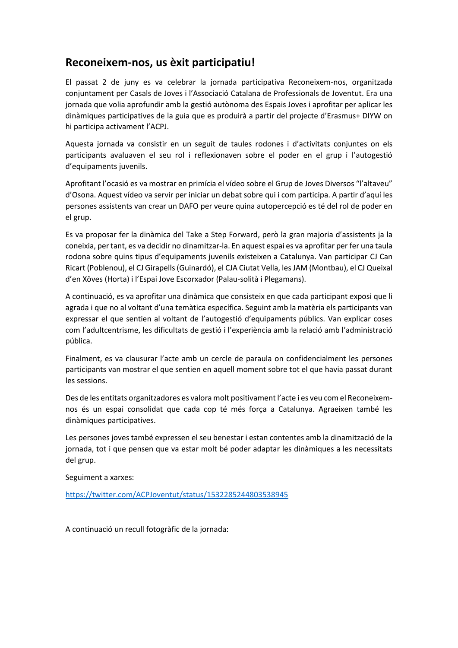## **Reconeixem-nos, us èxit participatiu!**

El passat 2 de juny es va celebrar la jornada participativa Reconeixem-nos, organitzada conjuntament per Casals de Joves i l'Associació Catalana de Professionals de Joventut. Era una jornada que volia aprofundir amb la gestió autònoma des Espais Joves i aprofitar per aplicar les dinàmiques participatives de la guia que es produirà a partir del projecte d'Erasmus+ DIYW on hi participa activament l'ACPJ.

Aquesta jornada va consistir en un seguit de taules rodones i d'activitats conjuntes on els participants avaluaven el seu rol i reflexionaven sobre el poder en el grup i l'autogestió d'equipaments juvenils.

Aprofitant l'ocasió es va mostrar en primícia el vídeo sobre el Grup de Joves Diversos "l'altaveu" d'Osona. Aquest vídeo va servir per iniciar un debat sobre qui i com participa. A partir d'aquí les persones assistents van crear un DAFO per veure quina autopercepció es té del rol de poder en el grup.

Es va proposar fer la dinàmica del Take a Step Forward, però la gran majoria d'assistents ja la coneixia, per tant, es va decidir no dinamitzar-la. En aquest espai es va aprofitar per fer una taula rodona sobre quins tipus d'equipaments juvenils existeixen a Catalunya. Van participar CJ Can Ricart (Poblenou), el CJ Girapells (Guinardó), el CJA Ciutat Vella, les JAM (Montbau), el CJ Queixal d'en Xöves (Horta) i l'Espai Jove Escorxador (Palau-solità i Plegamans).

A continuació, es va aprofitar una dinàmica que consisteix en que cada participant exposi que li agrada i que no al voltant d'una temàtica específica. Seguint amb la matèria els participants van expressar el que sentien al voltant de l'autogestió d'equipaments públics. Van explicar coses com l'adultcentrisme, les dificultats de gestió i l'experiència amb la relació amb l'administració pública.

Finalment, es va clausurar l'acte amb un cercle de paraula on confidencialment les persones participants van mostrar el que sentien en aquell moment sobre tot el que havia passat durant les sessions.

Des de les entitats organitzadores es valora molt positivament l'acte i es veu com el Reconeixemnos és un espai consolidat que cada cop té més força a Catalunya. Agraeixen també les dinàmiques participatives.

Les persones joves també expressen el seu benestar i estan contentes amb la dinamització de la jornada, tot i que pensen que va estar molt bé poder adaptar les dinàmiques a les necessitats del grup.

Seguiment a xarxes:

<https://twitter.com/ACPJoventut/status/1532285244803538945>

A continuació un recull fotogràfic de la jornada: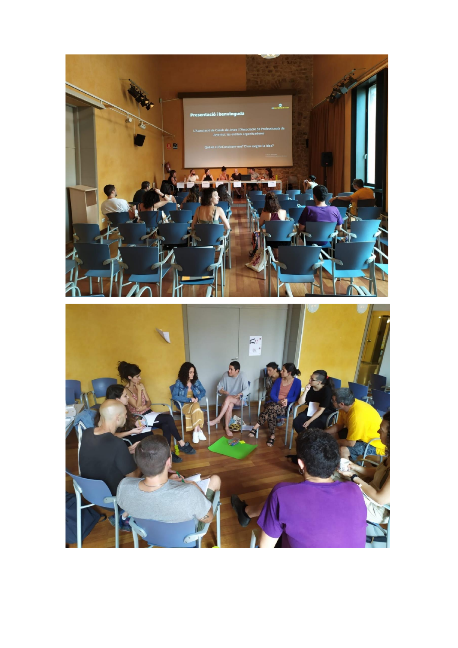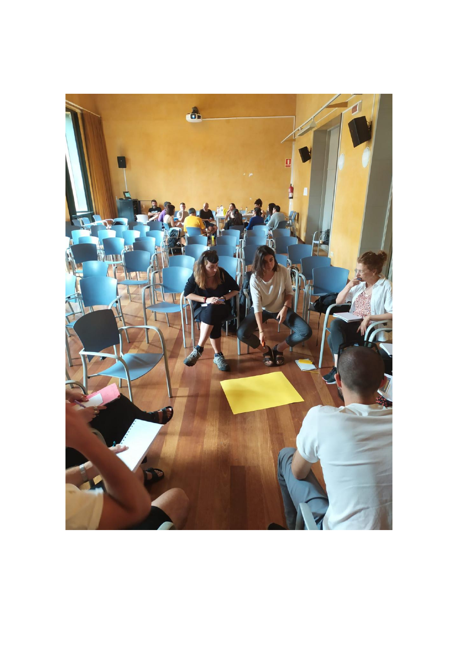